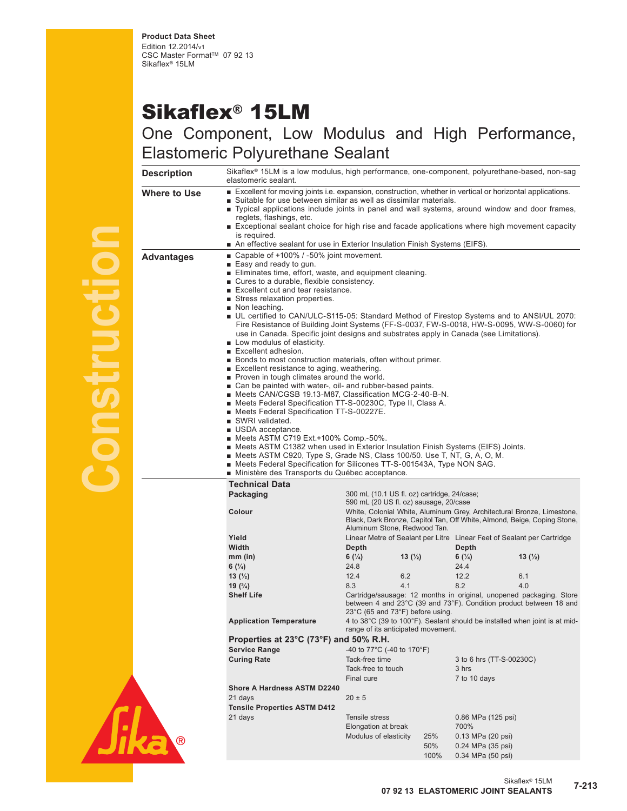## Sikaflex® 15LM

## One Component, Low Modulus and High Performance, Elastomeric Polyurethane Sealant<br>Description Sikaflex® 15LM is a low modulus, high performa

| <b>Description</b> | Sikaflex <sup>®</sup> 15LM is a low modulus, high performance, one-component, polyurethane-based, non-sag<br>elastomeric sealant.                                                                                                                                                                                                                                                                                                                                                                                                                                                                                                                                                                                                                                                                                                                                                                                                                                                                                                                                                                                                                                                                                                                                                                                                                                               |                                                                                                                                                                                                                                                                                                                                                                                                                                                                    |                    |                                                             |                    |  |  |  |
|--------------------|---------------------------------------------------------------------------------------------------------------------------------------------------------------------------------------------------------------------------------------------------------------------------------------------------------------------------------------------------------------------------------------------------------------------------------------------------------------------------------------------------------------------------------------------------------------------------------------------------------------------------------------------------------------------------------------------------------------------------------------------------------------------------------------------------------------------------------------------------------------------------------------------------------------------------------------------------------------------------------------------------------------------------------------------------------------------------------------------------------------------------------------------------------------------------------------------------------------------------------------------------------------------------------------------------------------------------------------------------------------------------------|--------------------------------------------------------------------------------------------------------------------------------------------------------------------------------------------------------------------------------------------------------------------------------------------------------------------------------------------------------------------------------------------------------------------------------------------------------------------|--------------------|-------------------------------------------------------------|--------------------|--|--|--|
| Where to Use       | reglets, flashings, etc.<br>is required.                                                                                                                                                                                                                                                                                                                                                                                                                                                                                                                                                                                                                                                                                                                                                                                                                                                                                                                                                                                                                                                                                                                                                                                                                                                                                                                                        | ■ Excellent for moving joints i.e. expansion, construction, whether in vertical or horizontal applications.<br>Suitable for use between similar as well as dissimilar materials.<br>Typical applications include joints in panel and wall systems, around window and door frames,<br>Exceptional sealant choice for high rise and facade applications where high movement capacity<br>■ An effective sealant for use in Exterior Insulation Finish Systems (EIFS). |                    |                                                             |                    |  |  |  |
| <b>Advantages</b>  | ■ Capable of +100% / -50% joint movement.<br>$\blacksquare$ Easy and ready to gun.<br>Eliminates time, effort, waste, and equipment cleaning.<br>■ Cures to a durable, flexible consistency.<br>■ Excellent cut and tear resistance.<br>■ Stress relaxation properties.<br>Non leaching.<br>■ UL certified to CAN/ULC-S115-05: Standard Method of Firestop Systems and to ANSI/UL 2070:<br>Fire Resistance of Building Joint Systems (FF-S-0037, FW-S-0018, HW-S-0095, WW-S-0060) for<br>use in Canada. Specific joint designs and substrates apply in Canada (see Limitations).<br>Low modulus of elasticity.<br>■ Excellent adhesion.<br>■ Bonds to most construction materials, often without primer.<br>Excellent resistance to aging, weathering.<br>Proven in tough climates around the world.<br>■ Can be painted with water-, oil- and rubber-based paints.<br>■ Meets CAN/CGSB 19.13-M87, Classification MCG-2-40-B-N.<br>■ Meets Federal Specification TT-S-00230C, Type II, Class A.<br>■ Meets Federal Specification TT-S-00227E.<br>■ SWRI validated.<br>■ USDA acceptance.<br>■ Meets ASTM C719 Ext.+100% Comp.-50%.<br>■ Meets ASTM C1382 when used in Exterior Insulation Finish Systems (EIFS) Joints.<br>■ Meets ASTM C920, Type S, Grade NS, Class 100/50. Use T, NT, G, A, O, M.<br>■ Meets Federal Specification for Silicones TT-S-001543A, Type NON SAG. |                                                                                                                                                                                                                                                                                                                                                                                                                                                                    |                    |                                                             |                    |  |  |  |
|                    | ■ Ministère des Transports du Québec acceptance.<br><b>Technical Data</b>                                                                                                                                                                                                                                                                                                                                                                                                                                                                                                                                                                                                                                                                                                                                                                                                                                                                                                                                                                                                                                                                                                                                                                                                                                                                                                       |                                                                                                                                                                                                                                                                                                                                                                                                                                                                    |                    |                                                             |                    |  |  |  |
|                    | Packaging<br>Colour                                                                                                                                                                                                                                                                                                                                                                                                                                                                                                                                                                                                                                                                                                                                                                                                                                                                                                                                                                                                                                                                                                                                                                                                                                                                                                                                                             | 300 mL (10.1 US fl. oz) cartridge, 24/case;<br>590 mL (20 US fl. oz) sausage, 20/case<br>White, Colonial White, Aluminum Grey, Architectural Bronze, Limestone,<br>Black, Dark Bronze, Capitol Tan, Off White, Almond, Beige, Coping Stone,                                                                                                                                                                                                                        |                    |                                                             |                    |  |  |  |
|                    |                                                                                                                                                                                                                                                                                                                                                                                                                                                                                                                                                                                                                                                                                                                                                                                                                                                                                                                                                                                                                                                                                                                                                                                                                                                                                                                                                                                 | Aluminum Stone, Redwood Tan.                                                                                                                                                                                                                                                                                                                                                                                                                                       |                    |                                                             |                    |  |  |  |
|                    | Yield                                                                                                                                                                                                                                                                                                                                                                                                                                                                                                                                                                                                                                                                                                                                                                                                                                                                                                                                                                                                                                                                                                                                                                                                                                                                                                                                                                           | Linear Metre of Sealant per Litre Linear Feet of Sealant per Cartridge                                                                                                                                                                                                                                                                                                                                                                                             |                    |                                                             |                    |  |  |  |
|                    | Width                                                                                                                                                                                                                                                                                                                                                                                                                                                                                                                                                                                                                                                                                                                                                                                                                                                                                                                                                                                                                                                                                                                                                                                                                                                                                                                                                                           | Depth                                                                                                                                                                                                                                                                                                                                                                                                                                                              |                    | Depth                                                       |                    |  |  |  |
|                    | $mm$ (in)                                                                                                                                                                                                                                                                                                                                                                                                                                                                                                                                                                                                                                                                                                                                                                                                                                                                                                                                                                                                                                                                                                                                                                                                                                                                                                                                                                       | 6 $(\frac{1}{4})$                                                                                                                                                                                                                                                                                                                                                                                                                                                  | 13 $(\frac{1}{2})$ | 6 $(\frac{1}{4})$                                           | 13 $(\frac{1}{2})$ |  |  |  |
|                    | 6 $(\frac{1}{4})$                                                                                                                                                                                                                                                                                                                                                                                                                                                                                                                                                                                                                                                                                                                                                                                                                                                                                                                                                                                                                                                                                                                                                                                                                                                                                                                                                               | 24.8                                                                                                                                                                                                                                                                                                                                                                                                                                                               |                    | 24.4                                                        |                    |  |  |  |
|                    | 13 $(\frac{1}{2})$                                                                                                                                                                                                                                                                                                                                                                                                                                                                                                                                                                                                                                                                                                                                                                                                                                                                                                                                                                                                                                                                                                                                                                                                                                                                                                                                                              | 12.4                                                                                                                                                                                                                                                                                                                                                                                                                                                               | 6.2                | 12.2                                                        | 6.1                |  |  |  |
|                    | 8.3<br>4.1<br>8.2<br>4.0<br>19 $(^{3}/_{4})$<br><b>Shelf Life</b><br>Cartridge/sausage: 12 months in original, unopened packaging. Store<br>between 4 and 23°C (39 and 73°F). Condition product between 18 and<br>$23^{\circ}$ C (65 and 73 $^{\circ}$ F) before using.                                                                                                                                                                                                                                                                                                                                                                                                                                                                                                                                                                                                                                                                                                                                                                                                                                                                                                                                                                                                                                                                                                         |                                                                                                                                                                                                                                                                                                                                                                                                                                                                    |                    |                                                             |                    |  |  |  |
|                    | 4 to 38°C (39 to 100°F). Sealant should be installed when joint is at mid-<br><b>Application Temperature</b><br>range of its anticipated movement.                                                                                                                                                                                                                                                                                                                                                                                                                                                                                                                                                                                                                                                                                                                                                                                                                                                                                                                                                                                                                                                                                                                                                                                                                              |                                                                                                                                                                                                                                                                                                                                                                                                                                                                    |                    |                                                             |                    |  |  |  |
|                    | Properties at 23°C (73°F) and 50% R.H.                                                                                                                                                                                                                                                                                                                                                                                                                                                                                                                                                                                                                                                                                                                                                                                                                                                                                                                                                                                                                                                                                                                                                                                                                                                                                                                                          |                                                                                                                                                                                                                                                                                                                                                                                                                                                                    |                    |                                                             |                    |  |  |  |
|                    | <b>Service Range</b>                                                                                                                                                                                                                                                                                                                                                                                                                                                                                                                                                                                                                                                                                                                                                                                                                                                                                                                                                                                                                                                                                                                                                                                                                                                                                                                                                            | -40 to 77°C (-40 to 170°F)                                                                                                                                                                                                                                                                                                                                                                                                                                         |                    |                                                             |                    |  |  |  |
|                    | <b>Curing Rate</b>                                                                                                                                                                                                                                                                                                                                                                                                                                                                                                                                                                                                                                                                                                                                                                                                                                                                                                                                                                                                                                                                                                                                                                                                                                                                                                                                                              | Tack-free time<br>3 to 6 hrs (TT-S-00230C)                                                                                                                                                                                                                                                                                                                                                                                                                         |                    |                                                             |                    |  |  |  |
|                    |                                                                                                                                                                                                                                                                                                                                                                                                                                                                                                                                                                                                                                                                                                                                                                                                                                                                                                                                                                                                                                                                                                                                                                                                                                                                                                                                                                                 | Tack-free to touch<br>3 hrs<br>Final cure<br>7 to 10 days                                                                                                                                                                                                                                                                                                                                                                                                          |                    |                                                             |                    |  |  |  |
|                    | <b>Shore A Hardness ASTM D2240</b>                                                                                                                                                                                                                                                                                                                                                                                                                                                                                                                                                                                                                                                                                                                                                                                                                                                                                                                                                                                                                                                                                                                                                                                                                                                                                                                                              |                                                                                                                                                                                                                                                                                                                                                                                                                                                                    |                    |                                                             |                    |  |  |  |
|                    | 21 days<br>$20 \pm 5$                                                                                                                                                                                                                                                                                                                                                                                                                                                                                                                                                                                                                                                                                                                                                                                                                                                                                                                                                                                                                                                                                                                                                                                                                                                                                                                                                           |                                                                                                                                                                                                                                                                                                                                                                                                                                                                    |                    |                                                             |                    |  |  |  |
|                    | <b>Tensile Properties ASTM D412</b>                                                                                                                                                                                                                                                                                                                                                                                                                                                                                                                                                                                                                                                                                                                                                                                                                                                                                                                                                                                                                                                                                                                                                                                                                                                                                                                                             |                                                                                                                                                                                                                                                                                                                                                                                                                                                                    |                    |                                                             |                    |  |  |  |
| ®                  | 21 days                                                                                                                                                                                                                                                                                                                                                                                                                                                                                                                                                                                                                                                                                                                                                                                                                                                                                                                                                                                                                                                                                                                                                                                                                                                                                                                                                                         | Tensile stress<br>0.86 MPa (125 psi)<br>Elongation at break<br>700%                                                                                                                                                                                                                                                                                                                                                                                                |                    |                                                             |                    |  |  |  |
|                    |                                                                                                                                                                                                                                                                                                                                                                                                                                                                                                                                                                                                                                                                                                                                                                                                                                                                                                                                                                                                                                                                                                                                                                                                                                                                                                                                                                                 | Modulus of elasticity                                                                                                                                                                                                                                                                                                                                                                                                                                              | 25%<br>50%<br>100% | 0.13 MPa (20 psi)<br>0.24 MPa (35 psi)<br>0.34 MPa (50 psi) |                    |  |  |  |
|                    |                                                                                                                                                                                                                                                                                                                                                                                                                                                                                                                                                                                                                                                                                                                                                                                                                                                                                                                                                                                                                                                                                                                                                                                                                                                                                                                                                                                 |                                                                                                                                                                                                                                                                                                                                                                                                                                                                    |                    |                                                             |                    |  |  |  |